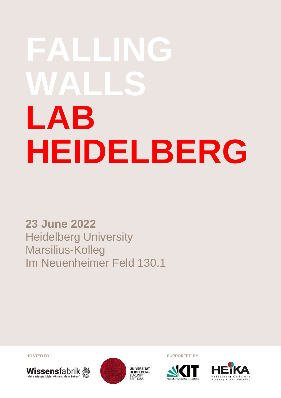# **FALLING WALLS LAB HEIDELBERG**

**23 June 2022** Heidelberg University Marsilius-Kolleg Im Neuenheimer Feld 130.1

**HOSTED BY** 





**SUPPORTED BY** 



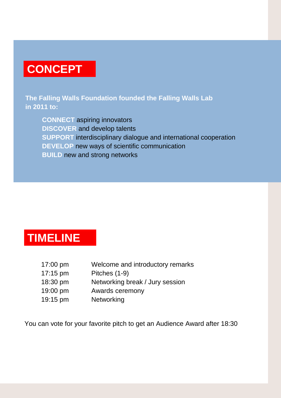# **CONCEPT**

**The Falling Walls Foundation founded the Falling Walls Lab in 2011 to:**

**CONNECT** aspiring innovators **DISCOVER** and develop talents **SUPPORT** interdisciplinary dialogue and international cooperation **DEVELOP** new ways of scientific communication **BUILD** new and strong networks

# **TIMELINE**

| $17:00 \text{ pm}$ | Welcome and introductory remarks |
|--------------------|----------------------------------|
| $17:15 \text{ pm}$ | Pitches (1-9)                    |
| 18:30 pm           | Networking break / Jury session  |
| 19:00 pm           | Awards ceremony                  |
| 19:15 pm           | Networking                       |

You can vote for your favorite pitch to get an Audience Award after 18:30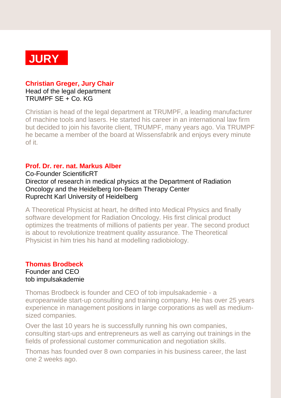

## **Christian Greger, Jury Chair**

Head of the legal department TRUMPF SE + Co. KG

Christian is head of the legal department at TRUMPF, a leading manufacturer of machine tools and lasers. He started his career in an international law firm but decided to join his favorite client, TRUMPF, many years ago. Via TRUMPF he became a member of the board at Wissensfabrik and enjoys every minute of it.

# **Prof. Dr. rer. nat. Markus Alber**

Co-Founder ScientificRT Director of research in medical physics at the Department of Radiation Oncology and the Heidelberg Ion-Beam Therapy Center Ruprecht Karl University of Heidelberg

A Theoretical Physicist at heart, he drifted into Medical Physics and finally software development for Radiation Oncology. His first clinical product optimizes the treatments of millions of patients per year. The second product is about to revolutionize treatment quality assurance. The Theoretical Physicist in him tries his hand at modelling radiobiology.

# **Thomas Brodbeck**

Founder and CEO tob impulsakademie

Thomas Brodbeck is founder and CEO of tob impulsakademie - a europeanwide start-up consulting and training company. He has over 25 years experience in management positions in large corporations as well as mediumsized companies.

Over the last 10 years he is successfully running his own companies, consulting start-ups and entrepreneurs as well as carrying out trainings in the fields of professional customer communication and negotiation skills.

Thomas has founded over 8 own companies in his business career, the last one 2 weeks ago.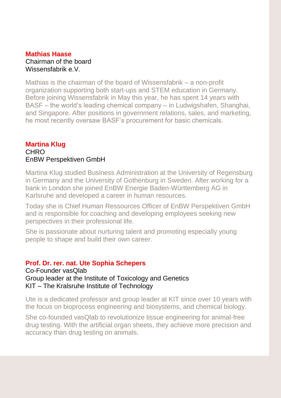## **Mathias Haase** Chairman of the board Wissensfabrik e.V.

Mathias is the chairman of the board of Wissensfabrik – a non-profit organization supporting both start-ups and STEM education in Germany. Before joining Wissensfabrik in May this year, he has spent 14 years with BASF – the world's leading chemical company – in Ludwigshafen, Shanghai, and Singapore. After positions in government relations, sales, and marketing, he most recently oversaw BASF's procurement for basic chemicals.

# **Martina Klug CHRO** EnBW Perspektiven GmbH

Martina Klug studied Business Administration at the University of Regensburg in Germany and the University of Gothenburg in Sweden. After working for a bank in London she joined EnBW Energie Baden-Württemberg AG in Karlsruhe and developed a career in human resources.

Today she is Chief Human Ressources Officer of EnBW Perspektiven GmbH and is responsible for coaching and developing employees seeking new perspectives in their professional life.

She is passionate about nurturing talent and promoting especially young people to shape and build their own career.

## **Prof. Dr. rer. nat. Ute Sophia Schepers**

Co-Founder vasQlab Group leader at the Institute of Toxicology and Genetics KIT – The Kralsruhe Institute of Technology

Ute is a dedicated professor and group leader at KIT since over 10 years with the focus on bioprocess engineering and biosystems, and chemical biology.

She co-founded vasQlab to revolutionize tissue engineering for animal-free drug testing. With the artificial organ sheets, they achieve more precision and accuracy than drug testing on animals.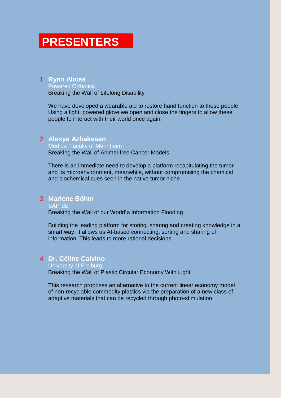# **PRESENTERS**

## 1 **Ryan Alicea**

Powered Orthotics Breaking the Wall of Lifelong Disability

We have developed a wearable aid to restore hand function to these people. Using a light, powered glove we open and close the fingers to allow these people to interact with their world once again.

#### 2 **Alexya Azhakesan**

Medical Faculty of Mannheim Breaking the Wall of Animal-free Cancer Models

There is an immediate need to develop a platform recapitulating the tumor and its microenvironment, meanwhile, without compromising the chemical and biochemical cues seen in the native tumor niche.

#### 3 **Marlene Böhm**

SAP SE Breaking the Wall of our World´s Information Flooding

Building the leading platform for storing, sharing and creating knowledge in a smart way. It allows us AI-based connecting, sorting and sharing of information. This leads to more rational decisions.

#### 4 **Dr. Céline Calvino**

#### University of Freiburg

Breaking the Wall of Plastic Circular Economy With Light

This research proposes an alternative to the current linear economy model of non-recyclable commodity plastics via the preparation of a new class of adaptive materials that can be recycled through photo-stimulation.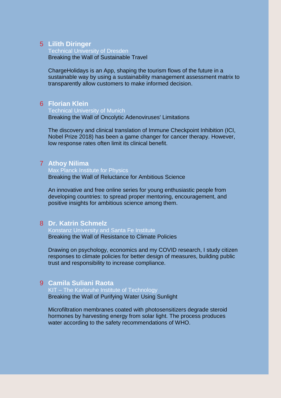#### 5 **Lilith Diringer**

Technical University of Dresden

Breaking the Wall of Sustainable Travel

ChargeHolidays is an App, shaping the tourism flows of the future in a sustainable way by using a sustainability management assessment matrix to transparently allow customers to make informed decision.

#### 6 **Florian Klein**

#### Technical University of Munich

Breaking the Wall of Oncolytic Adenoviruses' Limitations

The discovery and clinical translation of Immune Checkpoint Inhibition (ICI, Nobel Prize 2018) has been a game changer for cancer therapy. However, low response rates often limit its clinical benefit.

### 7 **Athoy Nilima**

#### Max Planck Institute for Physics

Breaking the Wall of Reluctance for Ambitious Science

An innovative and free online series for young enthusiastic people from developing countries: to spread proper mentoring, encouragement, and positive insights for ambitious science among them.

#### 8 **Dr. Katrin Schmelz**

Konstanz University and Santa Fe Institute Breaking the Wall of Resistance to Climate Policies

Drawing on psychology, economics and my COVID research, I study citizen responses to climate policies for better design of measures, building public trust and responsibility to increase compliance.

### 9 **Camila Suliani Raota**

KIT – The Karlsruhe Institute of Technology Breaking the Wall of Purifying Water Using Sunlight

Microfiltration membranes coated with photosensitizers degrade steroid hormones by harvesting energy from solar light. The process produces water according to the safety recommendations of WHO.